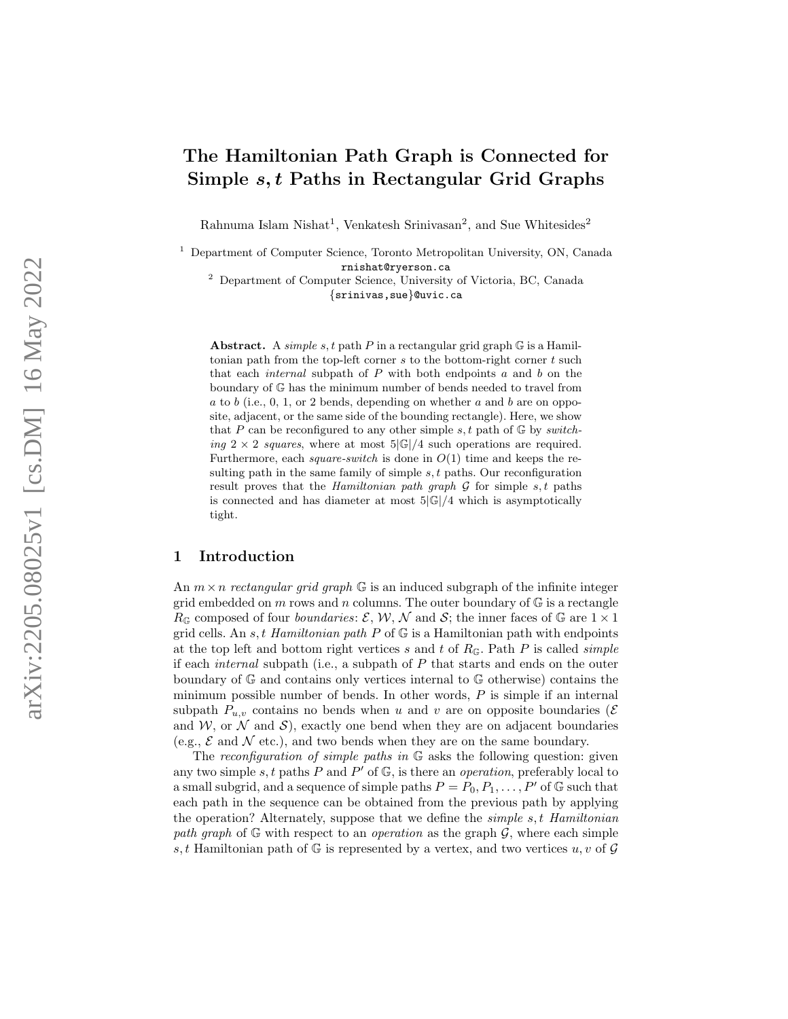# The Hamiltonian Path Graph is Connected for Simple s, t Paths in Rectangular Grid Graphs

Rahnuma Islam Nishat<sup>1</sup>, Venkatesh Srinivasan<sup>2</sup>, and Sue Whitesides<sup>2</sup>

<sup>1</sup> Department of Computer Science, Toronto Metropolitan University, ON, Canada rnishat@ryerson.ca

<sup>2</sup> Department of Computer Science, University of Victoria, BC, Canada {srinivas,sue}@uvic.ca

Abstract. A simple s, t path P in a rectangular grid graph  $G$  is a Hamiltonian path from the top-left corner  $s$  to the bottom-right corner  $t$  such that each *internal* subpath of  $P$  with both endpoints  $a$  and  $b$  on the boundary of G has the minimum number of bends needed to travel from  $a$  to  $b$  (i.e., 0, 1, or 2 bends, depending on whether  $a$  and  $b$  are on opposite, adjacent, or the same side of the bounding rectangle). Here, we show that P can be reconfigured to any other simple  $s, t$  path of  $\mathbb{G}$  by switching  $2 \times 2$  squares, where at most  $5|\mathbb{G}|/4$  such operations are required. Furthermore, each *square-switch* is done in  $O(1)$  time and keeps the resulting path in the same family of simple  $s, t$  paths. Our reconfiguration result proves that the *Hamiltonian path graph*  $\mathcal G$  for simple  $s, t$  paths is connected and has diameter at most  $5|\mathbb{G}|/4$  which is asymptotically tight.

### <span id="page-0-0"></span>1 Introduction

An  $m \times n$  rectangular grid graph  $\mathbb{G}$  is an induced subgraph of the infinite integer grid embedded on  $m$  rows and  $n$  columns. The outer boundary of  $\mathbb G$  is a rectangle  $R_{\mathbb{G}}$  composed of four *boundaries*:  $\mathcal{E}, \mathcal{W}, \mathcal{N}$  and  $\mathcal{S}$ ; the inner faces of  $\mathbb{G}$  are  $1 \times 1$ grid cells. An  $s, t$  Hamiltonian path P of  $\mathbb G$  is a Hamiltonian path with endpoints at the top left and bottom right vertices s and t of  $R_{\mathbb{G}}$ . Path P is called simple if each internal subpath (i.e., a subpath of P that starts and ends on the outer boundary of G and contains only vertices internal to G otherwise) contains the minimum possible number of bends. In other words, P is simple if an internal subpath  $P_{u,v}$  contains no bends when u and v are on opposite boundaries ( $\mathcal E$ and  $W$ , or  $\mathcal N$  and  $\mathcal S$ ), exactly one bend when they are on adjacent boundaries (e.g.,  $\mathcal E$  and  $\mathcal N$  etc.), and two bends when they are on the same boundary.

The reconfiguration of simple paths in  $\mathbb G$  asks the following question: given any two simple s, t paths P and P' of  $\mathbb{G}$ , is there an *operation*, preferably local to a small subgrid, and a sequence of simple paths  $P = P_0, P_1, \ldots, P'$  of G such that each path in the sequence can be obtained from the previous path by applying the operation? Alternately, suppose that we define the *simple s,t Hamiltonian* path graph of  $\mathbb G$  with respect to an *operation* as the graph  $\mathcal G$ , where each simple s, t Hamiltonian path of  $\mathbb G$  is represented by a vertex, and two vertices  $u, v$  of  $\mathcal G$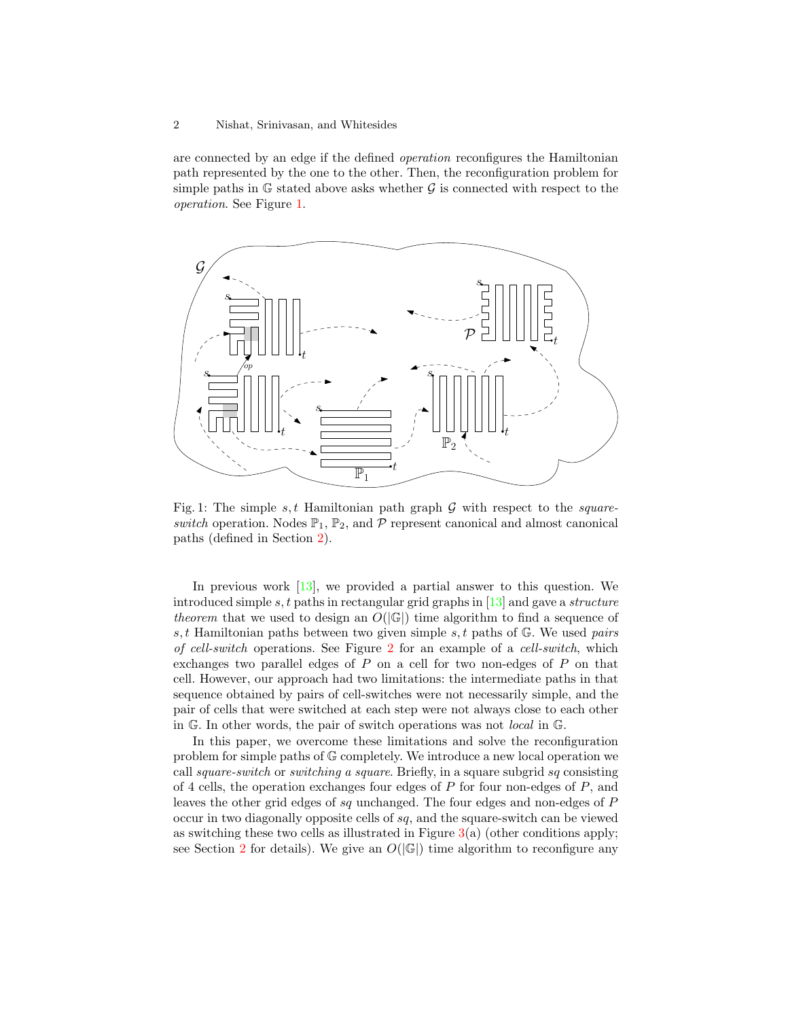#### 2 Nishat, Srinivasan, and Whitesides

are connected by an edge if the defined operation reconfigures the Hamiltonian path represented by the one to the other. Then, the reconfiguration problem for simple paths in  $\mathbb G$  stated above asks whether  $\mathcal G$  is connected with respect to the operation. See Figure [1.](#page-1-0)

<span id="page-1-0"></span>

Fig. 1: The simple  $s, t$  Hamiltonian path graph  $G$  with respect to the squareswitch operation. Nodes  $\mathbb{P}_1$ ,  $\mathbb{P}_2$ , and  $\mathcal P$  represent canonical and almost canonical paths (defined in Section [2\)](#page-3-0).

In previous work [\[13\]](#page-15-0), we provided a partial answer to this question. We introduced simple s, t paths in rectangular grid graphs in  $[13]$  and gave a *structure* theorem that we used to design an  $O(|\mathbb{G}|)$  time algorithm to find a sequence of s, t Hamiltonian paths between two given simple s, t paths of  $\mathbb{G}$ . We used pairs of cell-switch operations. See Figure [2](#page-2-0) for an example of a cell-switch, which exchanges two parallel edges of  $P$  on a cell for two non-edges of  $P$  on that cell. However, our approach had two limitations: the intermediate paths in that sequence obtained by pairs of cell-switches were not necessarily simple, and the pair of cells that were switched at each step were not always close to each other in G. In other words, the pair of switch operations was not local in G.

In this paper, we overcome these limitations and solve the reconfiguration problem for simple paths of G completely. We introduce a new local operation we call square-switch or switching a square. Briefly, in a square subgrid sq consisting of 4 cells, the operation exchanges four edges of  $P$  for four non-edges of  $P$ , and leaves the other grid edges of sq unchanged. The four edges and non-edges of P occur in two diagonally opposite cells of sq, and the square-switch can be viewed as switching these two cells as illustrated in Figure  $3(a)$  $3(a)$  (other conditions apply; see Section [2](#page-3-0) for details). We give an  $O(|\mathbb{G}|)$  time algorithm to reconfigure any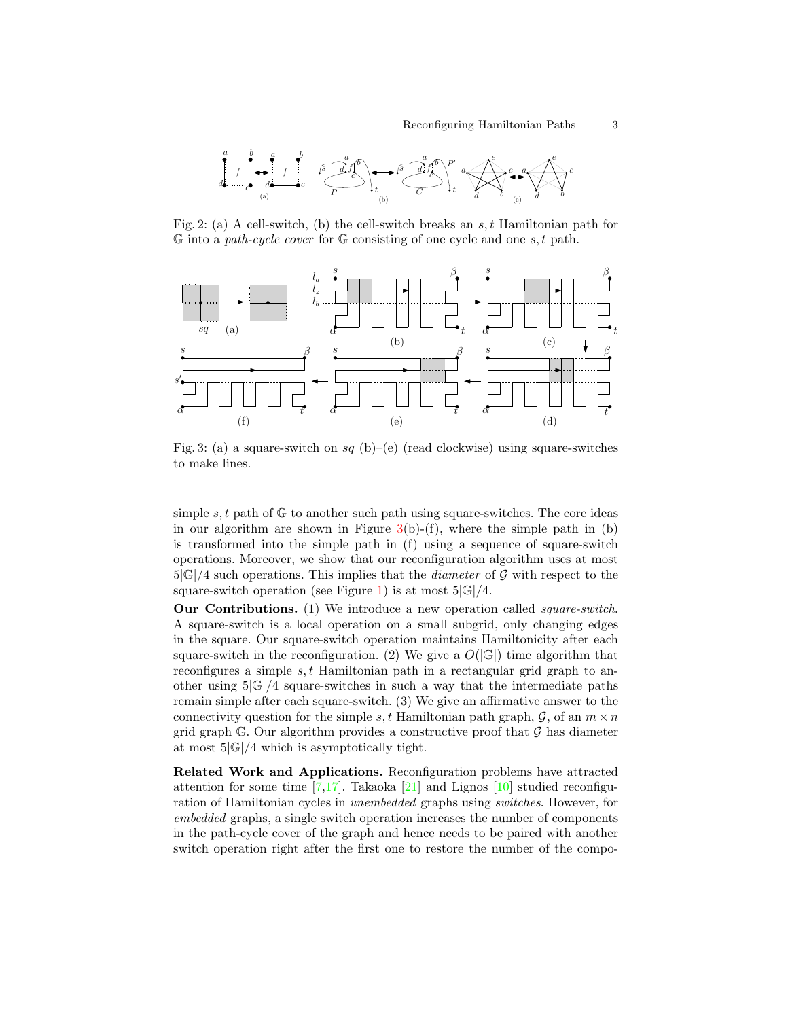<span id="page-2-0"></span>

Fig. 2: (a) A cell-switch, (b) the cell-switch breaks an  $s, t$  Hamiltonian path for  $\mathbb G$  into a path-cycle cover for  $\mathbb G$  consisting of one cycle and one s, t path.

<span id="page-2-1"></span>

Fig. 3: (a) a square-switch on sq (b)–(e) (read clockwise) using square-switches to make lines.

simple s, t path of  $\mathbb{G}$  to another such path using square-switches. The core ideas in our algorithm are shown in Figure  $3(b)-(f)$  $3(b)-(f)$ , where the simple path in (b) is transformed into the simple path in (f) using a sequence of square-switch operations. Moreover, we show that our reconfiguration algorithm uses at most  $5|\mathbb{G}|/4$  such operations. This implies that the *diameter* of G with respect to the square-switch operation (see Figure [1\)](#page-1-0) is at most  $5|\mathbb{G}|/4$ .

Our Contributions. (1) We introduce a new operation called square-switch. A square-switch is a local operation on a small subgrid, only changing edges in the square. Our square-switch operation maintains Hamiltonicity after each square-switch in the reconfiguration. (2) We give a  $O(|\mathbb{G}|)$  time algorithm that reconfigures a simple  $s, t$  Hamiltonian path in a rectangular grid graph to another using  $5|\mathbb{G}|/4$  square-switches in such a way that the intermediate paths remain simple after each square-switch. (3) We give an affirmative answer to the connectivity question for the simple s, t Hamiltonian path graph,  $\mathcal{G}$ , of an  $m \times n$ grid graph  $\mathbb{G}$ . Our algorithm provides a constructive proof that  $\mathcal{G}$  has diameter at most  $5|\mathbb{G}|/4$  which is asymptotically tight.

Related Work and Applications. Reconfiguration problems have attracted attention for some time  $[7,17]$  $[7,17]$ . Takaoka  $[21]$  and Lignos  $[10]$  studied reconfiguration of Hamiltonian cycles in unembedded graphs using switches. However, for embedded graphs, a single switch operation increases the number of components in the path-cycle cover of the graph and hence needs to be paired with another switch operation right after the first one to restore the number of the compo-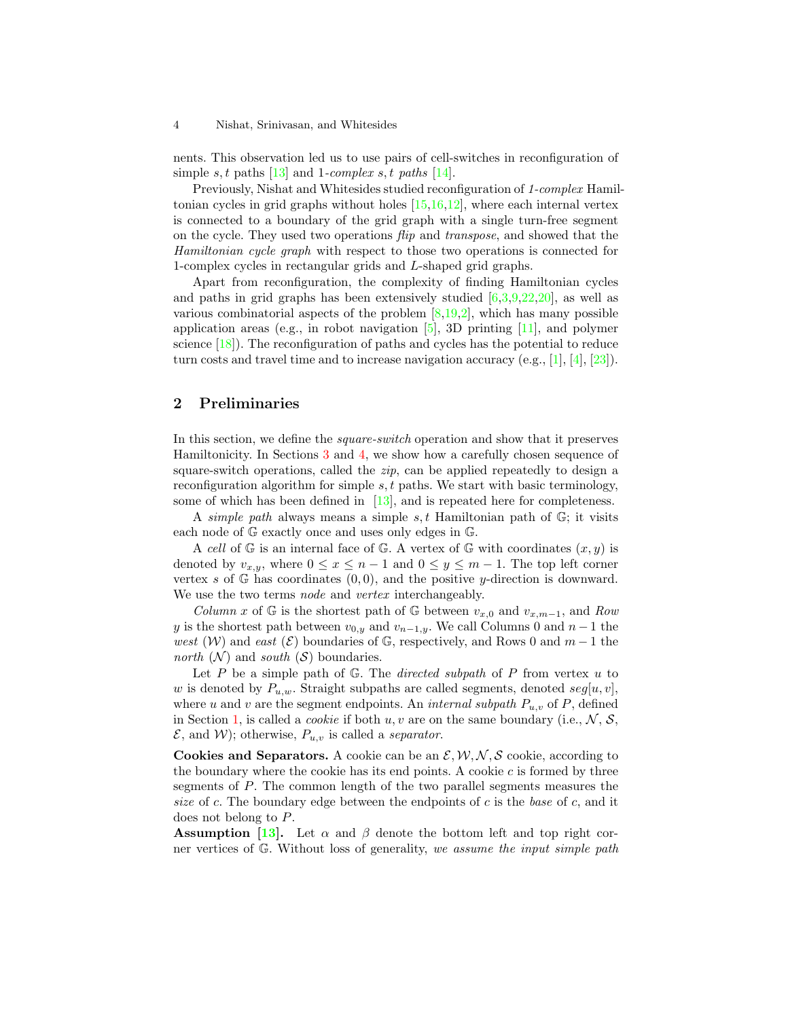#### 4 Nishat, Srinivasan, and Whitesides

nents. This observation led us to use pairs of cell-switches in reconfiguration of simple s, t paths [\[13\]](#page-15-0) and 1-complex s, t paths [\[14\]](#page-15-4).

Previously, Nishat and Whitesides studied reconfiguration of 1-complex Hamiltonian cycles in grid graphs without holes [\[15,](#page-15-5)[16,](#page-15-6)[12\]](#page-15-7), where each internal vertex is connected to a boundary of the grid graph with a single turn-free segment on the cycle. They used two operations flip and transpose, and showed that the Hamiltonian cycle graph with respect to those two operations is connected for 1-complex cycles in rectangular grids and L-shaped grid graphs.

Apart from reconfiguration, the complexity of finding Hamiltonian cycles and paths in grid graphs has been extensively studied  $[6,3,9,22,20]$  $[6,3,9,22,20]$  $[6,3,9,22,20]$  $[6,3,9,22,20]$  $[6,3,9,22,20]$ , as well as various combinatorial aspects of the problem  $[8,19,2]$  $[8,19,2]$  $[8,19,2]$ , which has many possible application areas (e.g., in robot navigation  $[5]$ , 3D printing  $[11]$ , and polymer science [\[18\]](#page-15-14)). The reconfiguration of paths and cycles has the potential to reduce turn costs and travel time and to increase navigation accuracy (e.g.,  $[1]$ ,  $[4]$ ,  $[23]$ ).

# <span id="page-3-0"></span>2 Preliminaries

In this section, we define the square-switch operation and show that it preserves Hamiltonicity. In Sections [3](#page-6-0) and [4,](#page-12-0) we show how a carefully chosen sequence of square-switch operations, called the  $zip$ , can be applied repeatedly to design a reconfiguration algorithm for simple  $s, t$  paths. We start with basic terminology, some of which has been defined in  $[13]$ , and is repeated here for completeness.

A simple path always means a simple s, t Hamiltonian path of  $\mathbb{G}$ ; it visits each node of G exactly once and uses only edges in G.

A cell of  $\mathbb G$  is an internal face of  $\mathbb G$ . A vertex of  $\mathbb G$  with coordinates  $(x, y)$  is denoted by  $v_{x,y}$ , where  $0 \le x \le n-1$  and  $0 \le y \le m-1$ . The top left corner vertex s of  $\mathbb{G}$  has coordinates  $(0, 0)$ , and the positive y-direction is downward. We use the two terms *node* and *vertex* interchangeably.

Column x of G is the shortest path of G between  $v_{x,0}$  and  $v_{x,m-1}$ , and Row y is the shortest path between  $v_{0,y}$  and  $v_{n-1,y}$ . We call Columns 0 and  $n-1$  the west (W) and east (E) boundaries of G, respectively, and Rows 0 and  $m-1$  the north  $(N)$  and south  $(S)$  boundaries.

Let  $P$  be a simple path of  $G$ . The *directed subpath* of  $P$  from vertex  $u$  to w is denoted by  $P_{u,w}$ . Straight subpaths are called segments, denoted  $seg[u, v]$ , where u and v are the segment endpoints. An *internal subpath*  $P_{u,v}$  of P, defined in Section [1,](#page-0-0) is called a *cookie* if both  $u, v$  are on the same boundary (i.e.,  $N, S$ ,  $\mathcal{E}$ , and W); otherwise,  $P_{u,v}$  is called a *separator*.

Cookies and Separators. A cookie can be an  $\mathcal{E}, \mathcal{W}, \mathcal{N}, \mathcal{S}$  cookie, according to the boundary where the cookie has its end points. A cookie  $c$  is formed by three segments of P. The common length of the two parallel segments measures the size of c. The boundary edge between the endpoints of c is the base of c, and it does not belong to P.

**Assumption** [\[13\]](#page-15-0). Let  $\alpha$  and  $\beta$  denote the bottom left and top right corner vertices of  $G$ . Without loss of generality, we assume the input simple path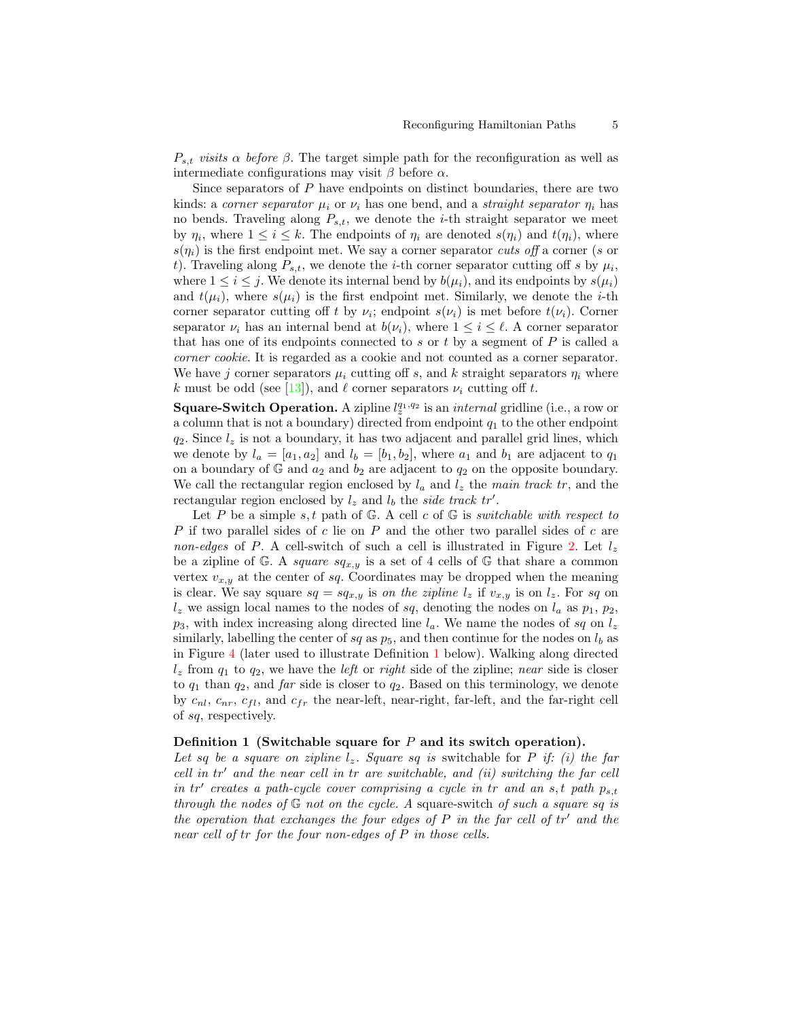$P_{s,t}$  visits  $\alpha$  before  $\beta$ . The target simple path for the reconfiguration as well as intermediate configurations may visit  $\beta$  before  $\alpha$ .

Since separators of  $P$  have endpoints on distinct boundaries, there are two kinds: a corner separator  $\mu_i$  or  $\nu_i$  has one bend, and a straight separator  $\eta_i$  has no bends. Traveling along  $P_{s,t}$ , we denote the *i*-th straight separator we meet by  $\eta_i$ , where  $1 \leq i \leq k$ . The endpoints of  $\eta_i$  are denoted  $s(\eta_i)$  and  $t(\eta_i)$ , where  $s(\eta_i)$  is the first endpoint met. We say a corner separator cuts of a corner (s or t). Traveling along  $P_{s,t}$ , we denote the *i*-th corner separator cutting off s by  $\mu_i$ , where  $1 \leq i \leq j$ . We denote its internal bend by  $b(\mu_i)$ , and its endpoints by  $s(\mu_i)$ and  $t(\mu_i)$ , where  $s(\mu_i)$  is the first endpoint met. Similarly, we denote the *i*-th corner separator cutting off t by  $\nu_i$ ; endpoint  $s(\nu_i)$  is met before  $t(\nu_i)$ . Corner separator  $\nu_i$  has an internal bend at  $b(\nu_i)$ , where  $1 \leq i \leq \ell$ . A corner separator that has one of its endpoints connected to s or t by a segment of  $P$  is called a corner cookie. It is regarded as a cookie and not counted as a corner separator. We have j corner separators  $\mu_i$  cutting off s, and k straight separators  $\eta_i$  where k must be odd (see [\[13\]](#page-15-0)), and  $\ell$  corner separators  $\nu_i$  cutting off t.

**Square-Switch Operation.** A zipline  $l_2^{q_1,q_2}$  is an *internal* gridline (i.e., a row or a column that is not a boundary) directed from endpoint  $q_1$  to the other endpoint  $q_2$ . Since  $l_z$  is not a boundary, it has two adjacent and parallel grid lines, which we denote by  $l_a = [a_1, a_2]$  and  $l_b = [b_1, b_2]$ , where  $a_1$  and  $b_1$  are adjacent to  $q_1$ on a boundary of  $\mathbb{G}$  and  $a_2$  and  $b_2$  are adjacent to  $q_2$  on the opposite boundary. We call the rectangular region enclosed by  $l_a$  and  $l_z$  the main track tr, and the rectangular region enclosed by  $l_z$  and  $l_b$  the side track tr'.

Let P be a simple s, t path of  $\mathbb{G}$ . A cell c of  $\mathbb{G}$  is switchable with respect to  $P$  if two parallel sides of  $c$  lie on  $P$  and the other two parallel sides of  $c$  are non-edges of P. A cell-switch of such a cell is illustrated in Figure [2.](#page-2-0) Let  $l_z$ be a zipline of G. A square  $sq_{x,y}$  is a set of 4 cells of G that share a common vertex  $v_{x,y}$  at the center of sq. Coordinates may be dropped when the meaning is clear. We say square  $sq = sq_{x,y}$  is on the zipline  $l_z$  if  $v_{x,y}$  is on  $l_z$ . For sq on  $l_z$  we assign local names to the nodes of sq, denoting the nodes on  $l_a$  as  $p_1$ ,  $p_2$ ,  $p_3$ , with index increasing along directed line  $l_a$ . We name the nodes of sq on  $l_z$ similarly, labelling the center of sq as  $p_5$ , and then continue for the nodes on  $l_b$  as in Figure [4](#page-5-0) (later used to illustrate Definition [1](#page-4-0) below). Walking along directed  $l_z$  from  $q_1$  to  $q_2$ , we have the *left* or *right* side of the zipline; near side is closer to  $q_1$  than  $q_2$ , and far side is closer to  $q_2$ . Based on this terminology, we denote by  $c_{nl}$ ,  $c_{nr}$ ,  $c_{fl}$ , and  $c_{fr}$  the near-left, near-right, far-left, and the far-right cell of sq, respectively.

#### <span id="page-4-0"></span>Definition 1 (Switchable square for  $P$  and its switch operation).

Let sq be a square on zipline  $l_z$ . Square sq is switchable for P if: (i) the far cell in  $tr'$  and the near cell in  $tr$  are switchable, and (ii) switching the far cell in  $tr'$  creates a path-cycle cover comprising a cycle in tr and an s, t path  $p_{s,t}$ through the nodes of  $\mathbb{G}$  not on the cycle. A square-switch of such a square sq is the operation that exchanges the four edges of  $P$  in the far cell of  $tr'$  and the near cell of tr for the four non-edges of P in those cells.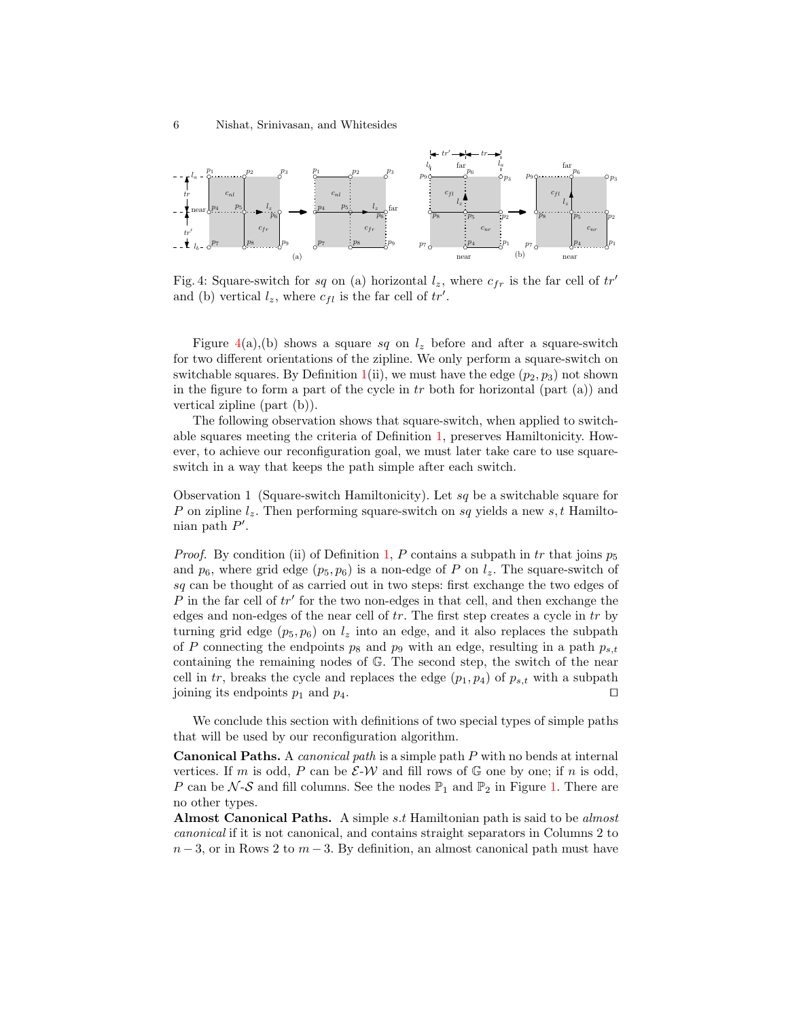<span id="page-5-0"></span>

Fig. 4: Square-switch for sq on (a) horizontal  $l_z$ , where  $c_{fr}$  is the far cell of tr' and (b) vertical  $l_z$ , where  $c_{fl}$  is the far cell of  $tr'$ .

Figure  $4(a)$  $4(a)$ , (b) shows a square sq on  $l_z$  before and after a square-switch for two different orientations of the zipline. We only perform a square-switch on switchable squares. By Definition [1\(](#page-4-0)ii), we must have the edge  $(p_2, p_3)$  not shown in the figure to form a part of the cycle in  $tr$  both for horizontal (part (a)) and vertical zipline (part (b)).

The following observation shows that square-switch, when applied to switchable squares meeting the criteria of Definition [1,](#page-4-0) preserves Hamiltonicity. However, to achieve our reconfiguration goal, we must later take care to use squareswitch in a way that keeps the path simple after each switch.

<span id="page-5-1"></span>Observation 1 (Square-switch Hamiltonicity). Let sq be a switchable square for P on zipline  $l_z$ . Then performing square-switch on sq yields a new s, t Hamiltonian path  $P'$ .

*Proof.* By condition (ii) of Definition [1,](#page-4-0) P contains a subpath in tr that joins  $p_5$ and  $p_6$ , where grid edge  $(p_5, p_6)$  is a non-edge of P on  $l_z$ . The square-switch of sq can be thought of as carried out in two steps: first exchange the two edges of  $P$  in the far cell of  $tr'$  for the two non-edges in that cell, and then exchange the edges and non-edges of the near cell of  $tr$ . The first step creates a cycle in  $tr$  by turning grid edge  $(p_5, p_6)$  on  $l_z$  into an edge, and it also replaces the subpath of P connecting the endpoints  $p_8$  and  $p_9$  with an edge, resulting in a path  $p_{s,t}$ containing the remaining nodes of G. The second step, the switch of the near cell in tr, breaks the cycle and replaces the edge  $(p_1, p_4)$  of  $p_{s,t}$  with a subpath joining its endpoints  $p_1$  and  $p_4$ .

We conclude this section with definitions of two special types of simple paths that will be used by our reconfiguration algorithm.

Canonical Paths. A canonical path is a simple path P with no bends at internal vertices. If m is odd, P can be  $\mathcal{E}\text{-}\mathcal{W}$  and fill rows of G one by one; if n is odd, P can be  $\mathcal{N}\text{-}\mathcal{S}$  and fill columns. See the nodes  $\mathbb{P}_1$  and  $\mathbb{P}_2$  in Figure [1.](#page-1-0) There are no other types.

Almost Canonical Paths. A simple s.t Hamiltonian path is said to be almost canonical if it is not canonical, and contains straight separators in Columns 2 to  $n-3$ , or in Rows 2 to  $m-3$ . By definition, an almost canonical path must have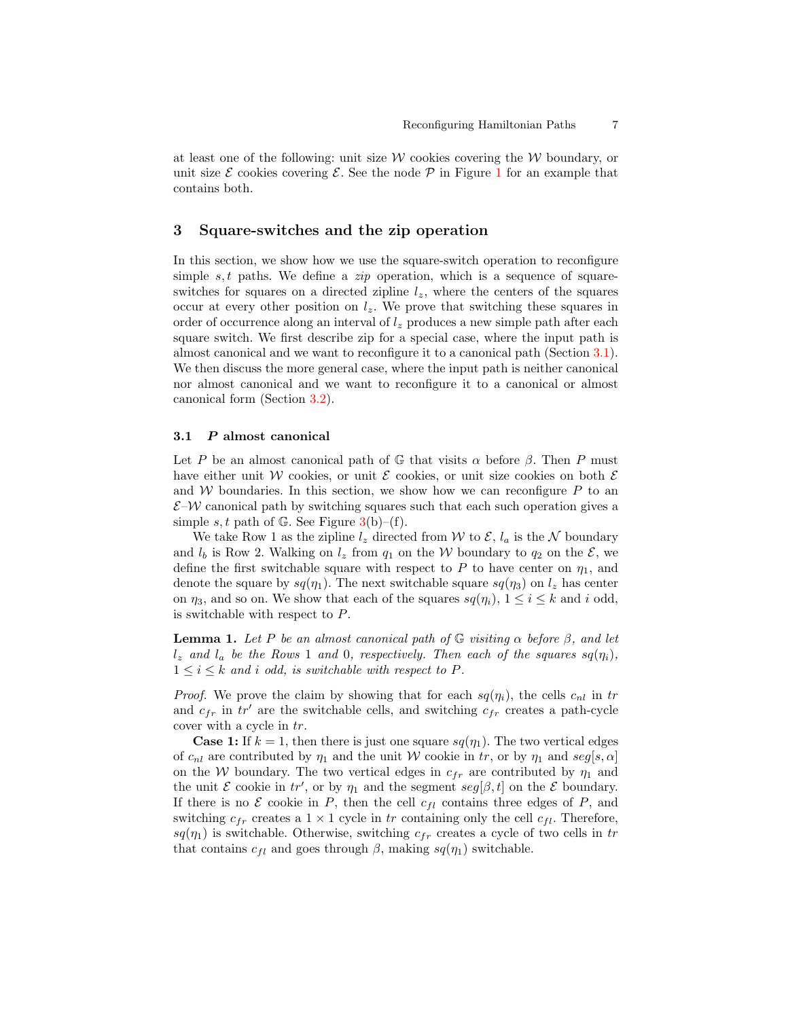at least one of the following: unit size  $W$  cookies covering the  $W$  boundary, or unit size  $\mathcal E$  cookies covering  $\mathcal E$ . See the node  $\mathcal P$  in Figure [1](#page-1-0) for an example that contains both.

### <span id="page-6-0"></span>3 Square-switches and the zip operation

In this section, we show how we use the square-switch operation to reconfigure simple  $s, t$  paths. We define a  $zip$  operation, which is a sequence of squareswitches for squares on a directed zipline  $l_z$ , where the centers of the squares occur at every other position on  $l_z$ . We prove that switching these squares in order of occurrence along an interval of  $l_z$  produces a new simple path after each square switch. We first describe zip for a special case, where the input path is almost canonical and we want to reconfigure it to a canonical path (Section [3.1\)](#page-6-1). We then discuss the more general case, where the input path is neither canonical nor almost canonical and we want to reconfigure it to a canonical or almost canonical form (Section [3.2\)](#page-7-0).

### <span id="page-6-1"></span>3.1 P almost canonical

Let P be an almost canonical path of  $\mathbb G$  that visits  $\alpha$  before  $\beta$ . Then P must have either unit W cookies, or unit  $\mathcal E$  cookies, or unit size cookies on both  $\mathcal E$ and W boundaries. In this section, we show how we can reconfigure  $P$  to an  $\mathcal{E}-\mathcal{W}$  canonical path by switching squares such that each such operation gives a simple s, t path of G. See Figure  $3(b)$  $3(b)$ –(f).

We take Row 1 as the zipline  $l_z$  directed from W to  $\mathcal{E}, l_a$  is the N boundary and  $l_b$  is Row 2. Walking on  $l_z$  from  $q_1$  on the W boundary to  $q_2$  on the  $\mathcal{E}$ , we define the first switchable square with respect to P to have center on  $\eta_1$ , and denote the square by  $sq(\eta_1)$ . The next switchable square  $sq(\eta_3)$  on  $l_z$  has center on  $\eta_3$ , and so on. We show that each of the squares  $sq(\eta_i)$ ,  $1 \leq i \leq k$  and i odd, is switchable with respect to P.

<span id="page-6-2"></span>**Lemma 1.** Let P be an almost canonical path of  $\mathbb{G}$  visiting  $\alpha$  before  $\beta$ , and let  $l_z$  and  $l_a$  be the Rows 1 and 0, respectively. Then each of the squares  $sq(\eta_i)$ ,  $1 \leq i \leq k$  and i odd, is switchable with respect to P.

*Proof.* We prove the claim by showing that for each  $sq(\eta_i)$ , the cells  $c_{nl}$  in tr and  $c_{fr}$  in  $tr'$  are the switchable cells, and switching  $c_{fr}$  creates a path-cycle cover with a cycle in tr.

**Case 1:** If  $k = 1$ , then there is just one square  $sq(\eta_1)$ . The two vertical edges of  $c_{nl}$  are contributed by  $\eta_1$  and the unit W cookie in tr, or by  $\eta_1$  and seg[s,  $\alpha$ ] on the W boundary. The two vertical edges in  $c_{fr}$  are contributed by  $\eta_1$  and the unit  $\mathcal E$  cookie in  $tr'$ , or by  $\eta_1$  and the segment  $seg[\beta, t]$  on the  $\mathcal E$  boundary. If there is no  $\mathcal E$  cookie in P, then the cell  $c_{fl}$  contains three edges of P, and switching  $c_{fr}$  creates a  $1 \times 1$  cycle in tr containing only the cell  $c_{fl}$ . Therefore,  $sq(\eta_1)$  is switchable. Otherwise, switching  $c_{fr}$  creates a cycle of two cells in tr that contains  $c_{fl}$  and goes through  $\beta$ , making  $sq(\eta_1)$  switchable.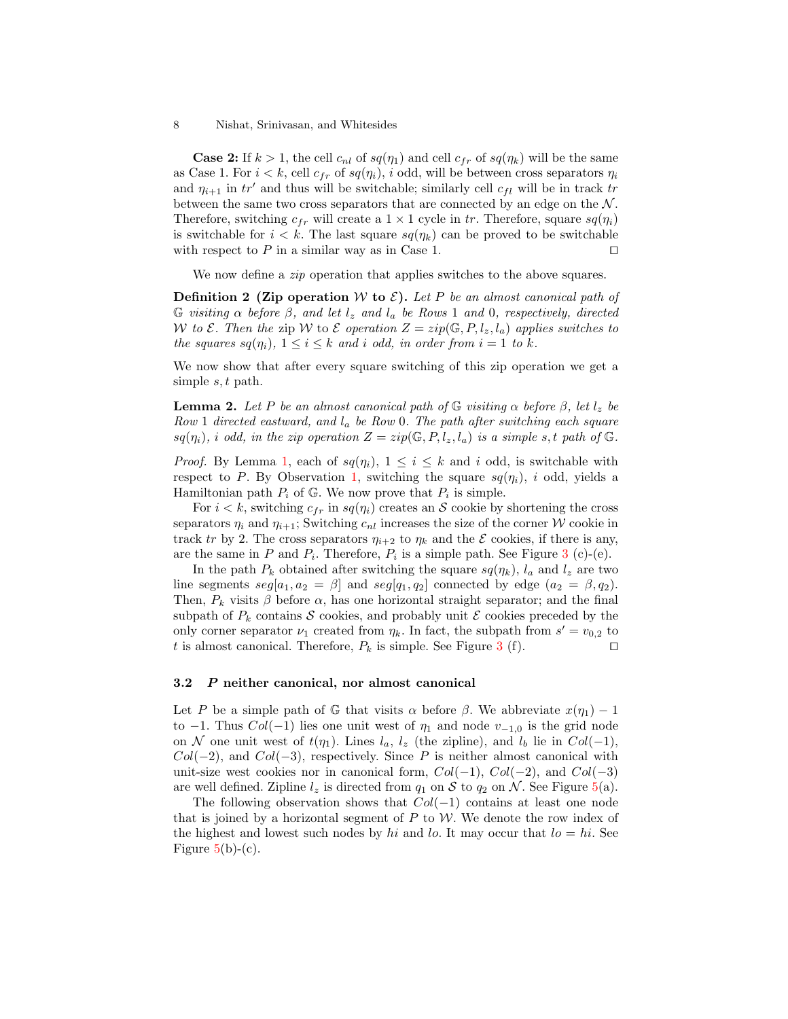**Case 2:** If  $k > 1$ , the cell  $c_{nl}$  of  $sq(\eta_1)$  and cell  $c_{fr}$  of  $sq(\eta_k)$  will be the same as Case 1. For  $i < k$ , cell  $c_{fr}$  of  $sq(\eta_i)$ , i odd, will be between cross separators  $\eta_i$ and  $\eta_{i+1}$  in tr' and thus will be switchable; similarly cell  $c_{fl}$  will be in track tr between the same two cross separators that are connected by an edge on the  $N$ . Therefore, switching  $c_{fr}$  will create a  $1 \times 1$  cycle in tr. Therefore, square  $sq(\eta_i)$ is switchable for  $i < k$ . The last square  $sq(\eta_k)$  can be proved to be switchable with respect to  $P$  in a similar way as in Case 1.

We now define a *zip* operation that applies switches to the above squares.

**Definition 2 (Zip operation** W to  $\mathcal{E}$ ). Let P be an almost canonical path of G visiting  $\alpha$  before  $\beta$ , and let  $l_z$  and  $l_a$  be Rows 1 and 0, respectively, directed W to  $\mathcal E$ . Then the zip W to  $\mathcal E$  operation  $Z = zip(\mathbb G, P, l_z, l_a)$  applies switches to the squares  $sq(\eta_i)$ ,  $1 \leq i \leq k$  and i odd, in order from  $i = 1$  to k.

We now show that after every square switching of this zip operation we get a simple s, t path.

<span id="page-7-2"></span>**Lemma 2.** Let P be an almost canonical path of  $\mathbb{G}$  visiting  $\alpha$  before  $\beta$ , let  $l_z$  be Row 1 directed eastward, and  $l_a$  be Row 0. The path after switching each square  $sq(\eta_i)$ , i odd, in the zip operation  $Z = zip(\mathbb{G}, P, l_z, l_a)$  is a simple s, t path of  $\mathbb{G}$ .

*Proof.* By Lemma [1,](#page-6-2) each of  $sq(\eta_i)$ ,  $1 \leq i \leq k$  and i odd, is switchable with respect to P. By Observation [1,](#page-5-1) switching the square  $sq(\eta_i)$ , i odd, yields a Hamiltonian path  $P_i$  of  $\mathbb{G}$ . We now prove that  $P_i$  is simple.

For  $i < k$ , switching  $c_{fr}$  in  $sq(\eta_i)$  creates an S cookie by shortening the cross separators  $\eta_i$  and  $\eta_{i+1}$ ; Switching  $c_{nl}$  increases the size of the corner W cookie in track tr by 2. The cross separators  $\eta_{i+2}$  to  $\eta_k$  and the E cookies, if there is any, are the same in P and  $P_i$ . Therefore,  $P_i$  is a simple path. See Figure [3](#page-2-1) (c)-(e).

In the path  $P_k$  obtained after switching the square  $sq(\eta_k)$ ,  $l_a$  and  $l_z$  are two line segments  $seg[a_1, a_2 = \beta]$  and  $seg[q_1, q_2]$  connected by edge  $(a_2 = \beta, q_2)$ . Then,  $P_k$  visits  $\beta$  before  $\alpha$ , has one horizontal straight separator; and the final subpath of  $P_k$  contains S cookies, and probably unit E cookies preceded by the only corner separator  $\nu_1$  created from  $\eta_k$ . In fact, the subpath from  $s' = v_{0,2}$  to t is almost canonical. Therefore,  $P_k$  is simple. See Figure [3](#page-2-1) (f).

#### <span id="page-7-0"></span>3.2 P neither canonical, nor almost canonical

Let P be a simple path of G that visits  $\alpha$  before  $\beta$ . We abbreviate  $x(\eta_1) - 1$ to  $-1$ . Thus  $Col(-1)$  lies one unit west of  $\eta_1$  and node  $v_{-1,0}$  is the grid node on N one unit west of  $t(\eta_1)$ . Lines  $l_a, l_z$  (the zipline), and  $l_b$  lie in  $Col(-1)$ ,  $Col(-2)$ , and  $Col(-3)$ , respectively. Since P is neither almost canonical with unit-size west cookies nor in canonical form,  $Col(-1)$ ,  $Col(-2)$ , and  $Col(-3)$ are well defined. Zipline  $l_z$  is directed from  $q_1$  on S to  $q_2$  on N. See Figure [5\(](#page-8-0)a).

<span id="page-7-1"></span>The following observation shows that  $Col(-1)$  contains at least one node that is joined by a horizontal segment of  $P$  to  $W$ . We denote the row index of the highest and lowest such nodes by hi and lo. It may occur that  $lo = hi$ . See Figure  $5(b)-(c)$  $5(b)-(c)$ .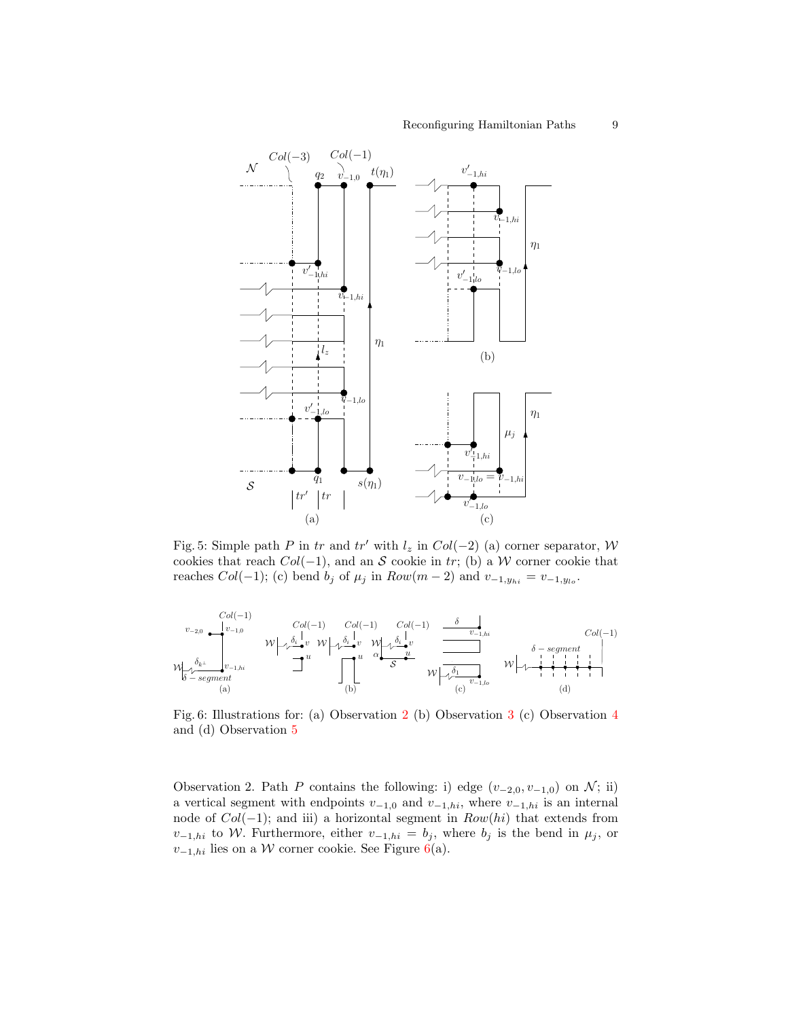<span id="page-8-0"></span>

Fig. 5: Simple path P in tr and tr' with  $l_z$  in  $Col(-2)$  (a) corner separator, W cookies that reach  $Col(-1)$ , and an S cookie in tr; (b) a W corner cookie that reaches  $Col(-1)$ ; (c) bend  $b_j$  of  $\mu_j$  in  $Row(m-2)$  and  $v_{-1,y_{hi}} = v_{-1,y_{lo}}$ .

<span id="page-8-1"></span>

Fig. 6: Illustrations for: (a) Observation [2](#page-7-1) (b) Observation [3](#page-9-0) (c) Observation [4](#page-9-1) and (d) Observation [5](#page-9-2)

Observation 2. Path P contains the following: i) edge  $(v_{-2,0}, v_{-1,0})$  on N; ii) a vertical segment with endpoints  $v_{-1,0}$  and  $v_{-1,hi}$ , where  $v_{-1,hi}$  is an internal node of  $Col(-1)$ ; and iii) a horizontal segment in  $Row(hi)$  that extends from  $v_{-1,hi}$  to W. Furthermore, either  $v_{-1,hi} = b_j$ , where  $b_j$  is the bend in  $\mu_j$ , or  $v_{-1,hi}$  lies on a W corner cookie. See Figure [6\(](#page-8-1)a).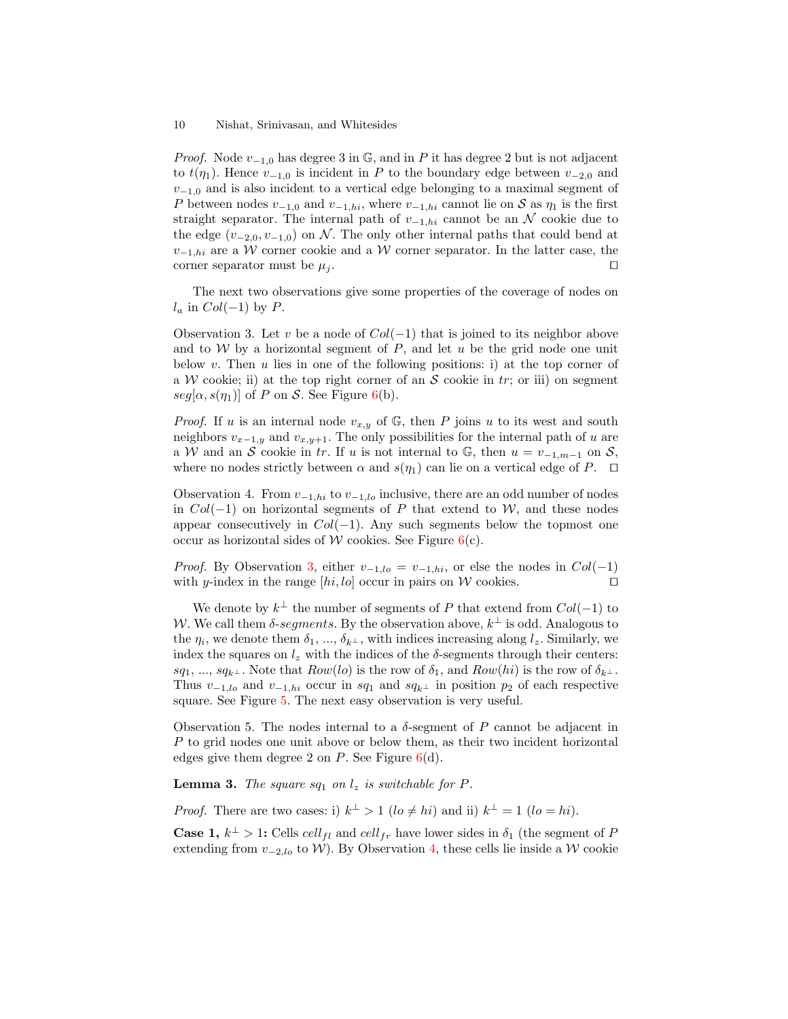#### 10 Nishat, Srinivasan, and Whitesides

*Proof.* Node  $v_{-1,0}$  has degree 3 in G, and in P it has degree 2 but is not adjacent to  $t(\eta_1)$ . Hence  $v_{-1,0}$  is incident in P to the boundary edge between  $v_{-2,0}$  and  $v_{-1,0}$  and is also incident to a vertical edge belonging to a maximal segment of P between nodes  $v_{-1,0}$  and  $v_{-1,hi}$ , where  $v_{-1,hi}$  cannot lie on S as  $\eta_1$  is the first straight separator. The internal path of  $v_{-1,hi}$  cannot be an N cookie due to the edge  $(v_{-2,0}, v_{-1,0})$  on N. The only other internal paths that could bend at  $v_{-1,hi}$  are a W corner cookie and a W corner separator. In the latter case, the corner separator must be  $\mu_i$ .

The next two observations give some properties of the coverage of nodes on  $l_a$  in  $Col(-1)$  by  $P$ .

<span id="page-9-0"></span>Observation 3. Let v be a node of  $Col(-1)$  that is joined to its neighbor above and to W by a horizontal segment of  $P$ , and let u be the grid node one unit below  $v$ . Then  $u$  lies in one of the following positions: i) at the top corner of a W cookie; ii) at the top right corner of an S cookie in tr; or iii) on segment  $seg[\alpha, s(\eta_1)]$  of P on S. See Figure [6\(](#page-8-1)b).

*Proof.* If u is an internal node  $v_{x,y}$  of  $\mathbb{G}$ , then P joins u to its west and south neighbors  $v_{x-1,y}$  and  $v_{x,y+1}$ . The only possibilities for the internal path of u are a W and an S cookie in tr. If u is not internal to  $\mathbb{G}$ , then  $u = v_{-1,m-1}$  on S, where no nodes strictly between  $\alpha$  and  $s(\eta_1)$  can lie on a vertical edge of P.  $\Box$ 

<span id="page-9-1"></span>Observation 4. From  $v_{-1,hi}$  to  $v_{-1,lo}$  inclusive, there are an odd number of nodes in  $Col(-1)$  on horizontal segments of P that extend to W, and these nodes appear consecutively in  $Col(-1)$ . Any such segments below the topmost one occur as horizontal sides of W cookies. See Figure  $6(c)$  $6(c)$ .

*Proof.* By Observation [3,](#page-9-0) either  $v_{-1,lo} = v_{-1,hi}$ , or else the nodes in  $Col(-1)$ with y-index in the range  $[hi, lo]$  occur in pairs on W cookies.

We denote by  $k^{\perp}$  the number of segments of P that extend from  $Col(-1)$  to W. We call them  $\delta$ -segments. By the observation above,  $k^{\perp}$  is odd. Analogous to the  $\eta_i$ , we denote them  $\delta_1, ..., \delta_{k^{\perp}}$ , with indices increasing along  $l_z$ . Similarly, we index the squares on  $l_z$  with the indices of the  $\delta$ -segments through their centers: sq<sub>1</sub>, ..., sq<sub>k</sub>⊥. Note that  $Row(lo)$  is the row of  $\delta_1$ , and  $Row(hi)$  is the row of  $\delta_{k^{\perp}}$ . Thus  $v_{-1,lo}$  and  $v_{-1,hi}$  occur in sq<sub>1</sub> and sq<sub>k<sup>⊥</sup></sub> in position p<sub>2</sub> of each respective square. See Figure [5.](#page-8-0) The next easy observation is very useful.

<span id="page-9-2"></span>Observation 5. The nodes internal to a  $\delta$ -segment of P cannot be adjacent in P to grid nodes one unit above or below them, as their two incident horizontal edges give them degree 2 on  $P$ . See Figure  $6(d)$  $6(d)$ .

<span id="page-9-3"></span>**Lemma 3.** The square sq<sub>1</sub> on  $l_z$  is switchable for P.

*Proof.* There are two cases: i)  $k^{\perp} > 1$  ( $lo \neq hi$ ) and ii)  $k^{\perp} = 1$  ( $lo = hi$ ).

**Case 1,**  $k^{\perp} > 1$ : Cells cell<sub>fl</sub> and cell<sub>fr</sub> have lower sides in  $\delta_1$  (the segment of F extending from  $v_{-2, l_o}$  to W). By Observation [4,](#page-9-1) these cells lie inside a W cookie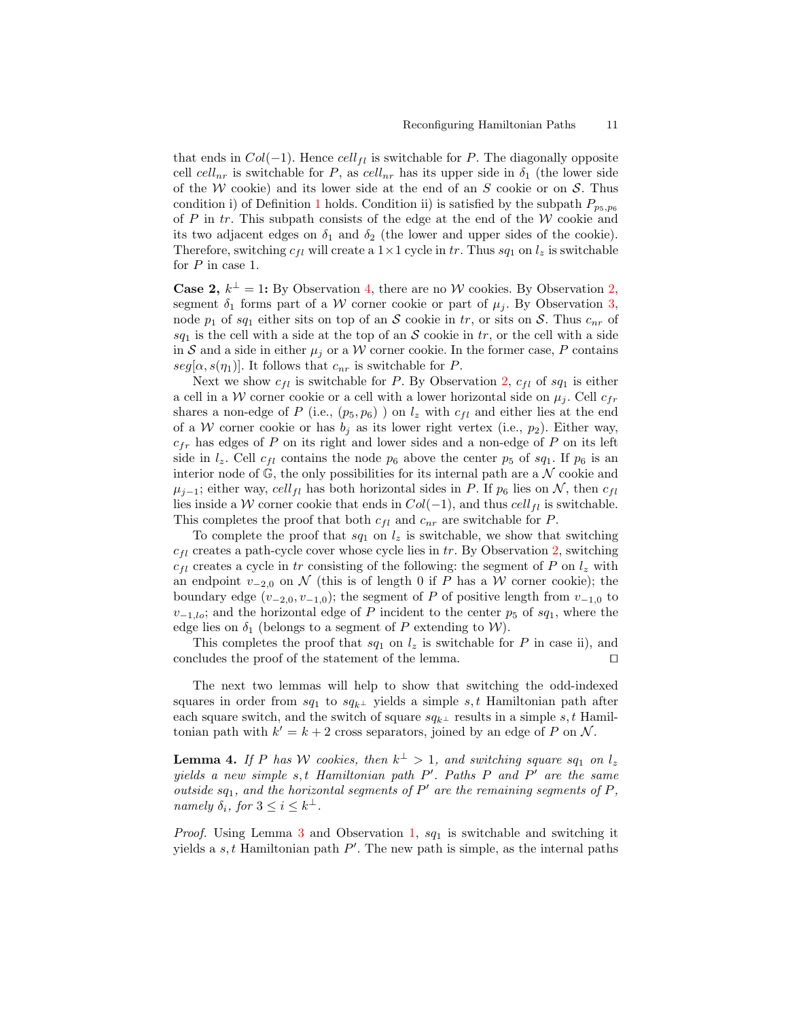that ends in  $Col(-1)$ . Hence  $cell_{fl}$  is switchable for P. The diagonally opposite cell  $cell_{nr}$  is switchable for P, as  $cell_{nr}$  has its upper side in  $\delta_1$  (the lower side of the W cookie) and its lower side at the end of an  $S$  cookie or on  $S$ . Thus condition i) of Definition [1](#page-4-0) holds. Condition ii) is satisfied by the subpath  $P_{p_5,p_6}$ of  $P$  in  $tr$ . This subpath consists of the edge at the end of the  $W$  cookie and its two adjacent edges on  $\delta_1$  and  $\delta_2$  (the lower and upper sides of the cookie). Therefore, switching  $c_{fl}$  will create a  $1 \times 1$  cycle in tr. Thus  $sq_1$  on  $l_z$  is switchable for P in case 1.

**Case [2,](#page-7-1)**  $k^{\perp} = 1$ : By Observation [4,](#page-9-1) there are no W cookies. By Observation 2, segment  $\delta_1$  forms part of a W corner cookie or part of  $\mu_j$ . By Observation [3,](#page-9-0) node  $p_1$  of sq<sub>1</sub> either sits on top of an S cookie in tr, or sits on S. Thus  $c_{nr}$  of  $sq_1$  is the cell with a side at the top of an S cookie in tr, or the cell with a side in S and a side in either  $\mu_i$  or a W corner cookie. In the former case, P contains  $seg[\alpha, s(\eta_1)]$ . It follows that  $c_{nr}$  is switchable for P.

Next we show  $c_{fl}$  is switchable for P. By Observation [2,](#page-7-1)  $c_{fl}$  of  $sq_1$  is either a cell in a W corner cookie or a cell with a lower horizontal side on  $\mu_i$ . Cell  $c_{fr}$ shares a non-edge of P (i.e.,  $(p_5, p_6)$ ) on  $l_z$  with  $c_{fl}$  and either lies at the end of a W corner cookie or has  $b_i$  as its lower right vertex (i.e.,  $p_2$ ). Either way,  $c_{fr}$  has edges of P on its right and lower sides and a non-edge of P on its left side in  $l_z$ . Cell  $c_{fl}$  contains the node  $p_6$  above the center  $p_5$  of  $sq_1$ . If  $p_6$  is an interior node of  $\mathbb{G}$ , the only possibilities for its internal path are a  $\mathcal N$  cookie and  $\mu_{i-1}$ ; either way, cell<sub>fl</sub> has both horizontal sides in P. If  $p_6$  lies on N, then  $c_{fl}$ lies inside a W corner cookie that ends in  $Col(-1)$ , and thus  $cell_{fl}$  is switchable. This completes the proof that both  $c_{fl}$  and  $c_{nr}$  are switchable for P.

To complete the proof that  $sq_1$  on  $l_z$  is switchable, we show that switching  $c_{fl}$  creates a path-cycle cover whose cycle lies in tr. By Observation [2,](#page-7-1) switching  $c_{fl}$  creates a cycle in tr consisting of the following: the segment of P on  $l_z$  with an endpoint  $v_{-2,0}$  on N (this is of length 0 if P has a W corner cookie); the boundary edge  $(v_{-2,0}, v_{-1,0})$ ; the segment of P of positive length from  $v_{-1,0}$  to  $v_{-1,lo}$ ; and the horizontal edge of P incident to the center  $p_5$  of  $sq_1$ , where the edge lies on  $\delta_1$  (belongs to a segment of P extending to W).

This completes the proof that  $sq_1$  on  $l_z$  is switchable for P in case ii), and concludes the proof of the statement of the lemma.  $\Box$ 

The next two lemmas will help to show that switching the odd-indexed squares in order from  $sq_1$  to  $sq_{k^{\perp}}$  yields a simple s, t Hamiltonian path after each square switch, and the switch of square  $sq_{k^{\perp}}$  results in a simple s, t Hamiltonian path with  $k' = k + 2$  cross separators, joined by an edge of P on N.

<span id="page-10-0"></span>**Lemma 4.** If P has W cookies, then  $k^{\perp} > 1$ , and switching square sq<sub>1</sub> on  $l_z$ yields a new simple  $s, t$  Hamiltonian path  $P'$ . Paths  $P$  and  $P'$  are the same outside  $sq_1$ , and the horizontal segments of  $P'$  are the remaining segments of  $P$ , namely  $\delta_i$ , for  $3 \leq i \leq k^{\perp}$ .

*Proof.* Using Lemma [3](#page-9-3) and Observation [1,](#page-5-1)  $sq_1$  is switchable and switching it yields a  $s, t$  Hamiltonian path  $P'$ . The new path is simple, as the internal paths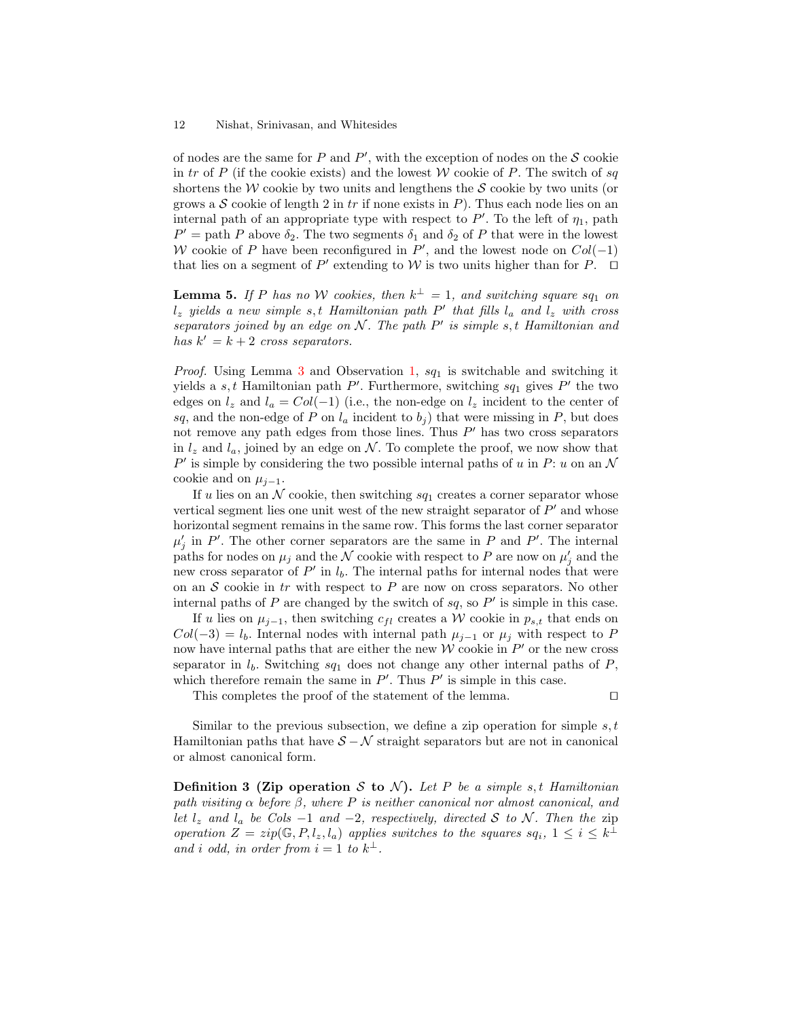of nodes are the same for  $P$  and  $P'$ , with the exception of nodes on the  $S$  cookie in tr of P (if the cookie exists) and the lowest W cookie of P. The switch of sq shortens the W cookie by two units and lengthens the  $S$  cookie by two units (or grows a  $S$  cookie of length 2 in tr if none exists in P). Thus each node lies on an internal path of an appropriate type with respect to  $P'$ . To the left of  $\eta_1$ , path  $P' =$  path P above  $\delta_2$ . The two segments  $\delta_1$  and  $\delta_2$  of P that were in the lowest W cookie of P have been reconfigured in  $P'$ , and the lowest node on  $Col(-1)$ that lies on a segment of P' extending to W is two units higher than for P.  $\Box$ 

<span id="page-11-0"></span>**Lemma 5.** If P has no W cookies, then  $k^{\perp} = 1$ , and switching square sq<sub>1</sub> on  $l_z$  yields a new simple s, t Hamiltonian path P' that fills  $l_a$  and  $l_z$  with cross separators joined by an edge on  $N$ . The path  $P'$  is simple s, t Hamiltonian and has  $k' = k + 2$  cross separators.

*Proof.* Using Lemma [3](#page-9-3) and Observation [1,](#page-5-1)  $sq_1$  is switchable and switching it yields a  $s, t$  Hamiltonian path  $P'$ . Furthermore, switching  $sq_1$  gives  $P'$  the two edges on  $l_z$  and  $l_a = Col(-1)$  (i.e., the non-edge on  $l_z$  incident to the center of sq, and the non-edge of P on  $l_a$  incident to  $b_j$ ) that were missing in P, but does not remove any path edges from those lines. Thus  $P'$  has two cross separators in  $l_z$  and  $l_a$ , joined by an edge on N. To complete the proof, we now show that  $P'$  is simple by considering the two possible internal paths of u in P: u on an N cookie and on  $\mu_{i-1}$ .

If u lies on an  $N$  cookie, then switching  $sq_1$  creates a corner separator whose vertical segment lies one unit west of the new straight separator of  $P'$  and whose horizontal segment remains in the same row. This forms the last corner separator  $\mu'_{j}$  in P'. The other corner separators are the same in P and P'. The internal paths for nodes on  $\mu_j$  and the  $\mathcal N$  cookie with respect to P are now on  $\mu'_j$  and the new cross separator of  $P'$  in  $l_b$ . The internal paths for internal nodes that were on an  $S$  cookie in tr with respect to  $P$  are now on cross separators. No other internal paths of  $P$  are changed by the switch of  $sq$ , so  $P'$  is simple in this case.

If u lies on  $\mu_{i-1}$ , then switching  $c_{fl}$  creates a W cookie in  $p_{s,t}$  that ends on  $Col(-3) = l_b$ . Internal nodes with internal path  $\mu_{i-1}$  or  $\mu_i$  with respect to P now have internal paths that are either the new  $W$  cookie in  $P'$  or the new cross separator in  $l_b$ . Switching  $sq_1$  does not change any other internal paths of P, which therefore remain the same in  $P'$ . Thus  $P'$  is simple in this case.

This completes the proof of the statement of the lemma.  $\Box$ 

Similar to the previous subsection, we define a zip operation for simple  $s, t$ Hamiltonian paths that have  $S - N$  straight separators but are not in canonical or almost canonical form.

**Definition 3 (Zip operation S to N).** Let P be a simple s, t Hamiltonian path visiting  $\alpha$  before  $\beta$ , where P is neither canonical nor almost canonical, and let  $l_z$  and  $l_a$  be Cols  $-1$  and  $-2$ , respectively, directed S to N. Then the zip operation  $Z = zip(\mathbb{G}, P, l_z, l_a)$  applies switches to the squares  $sq_i, 1 \leq i \leq k^{\perp}$ and i odd, in order from  $i = 1$  to  $k^{\perp}$ .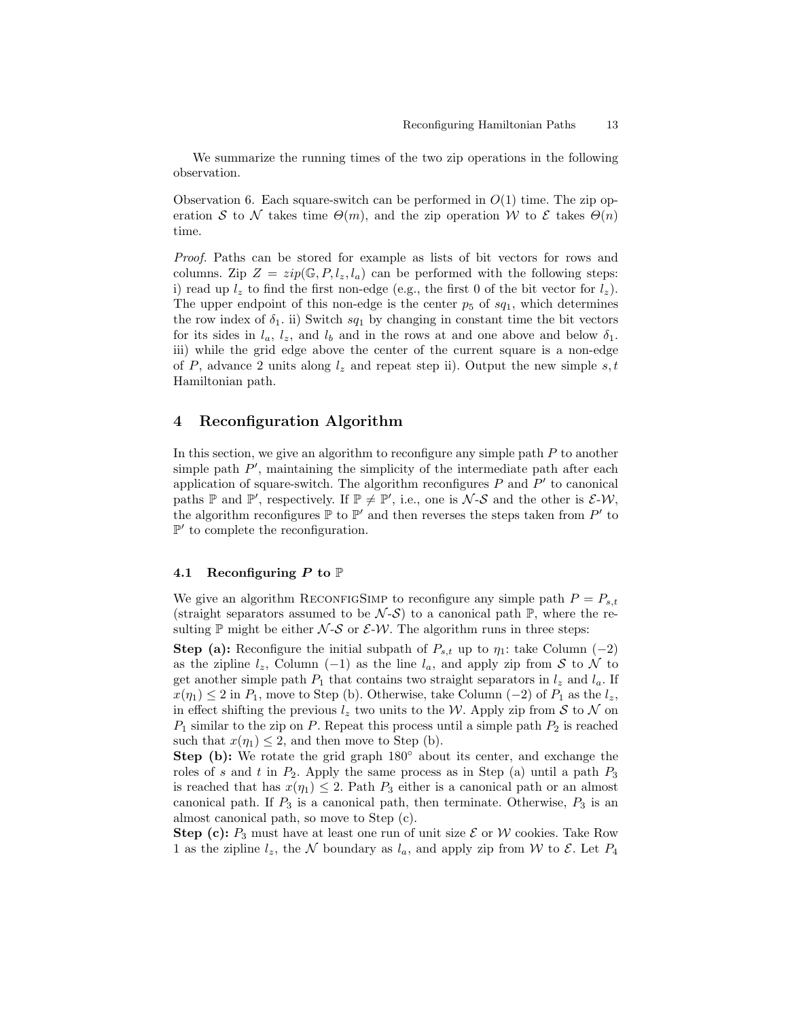We summarize the running times of the two zip operations in the following observation.

Observation 6. Each square-switch can be performed in  $O(1)$  time. The zip operation S to N takes time  $\Theta(m)$ , and the zip operation W to E takes  $\Theta(n)$ time.

Proof. Paths can be stored for example as lists of bit vectors for rows and columns. Zip  $Z = zip(\mathbb{G}, P, l_z, l_a)$  can be performed with the following steps: i) read up  $l_z$  to find the first non-edge (e.g., the first 0 of the bit vector for  $l_z$ ). The upper endpoint of this non-edge is the center  $p_5$  of  $sq_1$ , which determines the row index of  $\delta_1$ . ii) Switch  $sq_1$  by changing in constant time the bit vectors for its sides in  $l_a$ ,  $l_z$ , and  $l_b$  and in the rows at and one above and below  $\delta_1$ . iii) while the grid edge above the center of the current square is a non-edge of P, advance 2 units along  $l_z$  and repeat step ii). Output the new simple s, t Hamiltonian path.

# <span id="page-12-0"></span>4 Reconfiguration Algorithm

In this section, we give an algorithm to reconfigure any simple path  $P$  to another simple path  $P'$ , maintaining the simplicity of the intermediate path after each application of square-switch. The algorithm reconfigures  $P$  and  $P'$  to canonical paths  $\mathbb P$  and  $\mathbb P'$ , respectively. If  $\mathbb P \neq \mathbb P'$ , i.e., one is  $\mathcal N$ -S and the other is  $\mathcal E$ -W, the algorithm reconfigures  $\mathbb P$  to  $\mathbb P'$  and then reverses the steps taken from  $P'$  to  $\mathbb{P}'$  to complete the reconfiguration.

### 4.1 Reconfiguring P to  $\mathbb P$

We give an algorithm RECONFIGSIMP to reconfigure any simple path  $P = P_{s,t}$ (straight separators assumed to be  $\mathcal{N}-\mathcal{S}$ ) to a canonical path  $\mathbb{P}$ , where the resulting  $\mathbb P$  might be either  $\mathcal N$ -S or  $\mathcal E$ -W. The algorithm runs in three steps:

**Step (a):** Reconfigure the initial subpath of  $P_{s,t}$  up to  $\eta_1$ : take Column (-2) as the zipline  $l_z$ , Column (−1) as the line  $l_a$ , and apply zip from S to N to get another simple path  $P_1$  that contains two straight separators in  $l_z$  and  $l_a$ . If  $x(\eta_1) \leq 2$  in  $P_1$ , move to Step (b). Otherwise, take Column (-2) of  $P_1$  as the  $l_z$ , in effect shifting the previous  $l_z$  two units to the W. Apply zip from S to N on  $P_1$  similar to the zip on P. Repeat this process until a simple path  $P_2$  is reached such that  $x(\eta_1) \leq 2$ , and then move to Step (b).

Step (b): We rotate the grid graph 180◦ about its center, and exchange the roles of s and t in  $P_2$ . Apply the same process as in Step (a) until a path  $P_3$ is reached that has  $x(\eta_1) \leq 2$ . Path  $P_3$  either is a canonical path or an almost canonical path. If  $P_3$  is a canonical path, then terminate. Otherwise,  $P_3$  is an almost canonical path, so move to Step (c).

Step (c):  $P_3$  must have at least one run of unit size  $\mathcal E$  or W cookies. Take Row 1 as the zipline  $l_z$ , the N boundary as  $l_a$ , and apply zip from W to  $\mathcal{E}$ . Let  $P_4$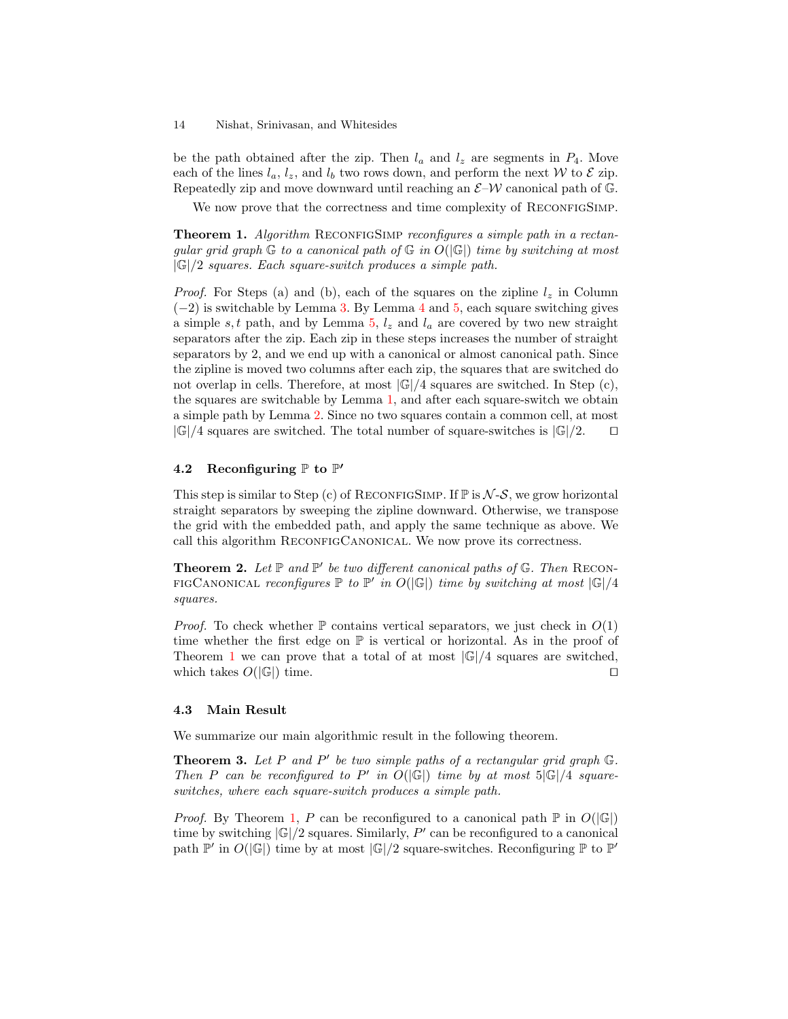be the path obtained after the zip. Then  $l_a$  and  $l_z$  are segments in  $P_4$ . Move each of the lines  $l_a, l_z$ , and  $l_b$  two rows down, and perform the next W to  $\mathcal E$  zip. Repeatedly zip and move downward until reaching an  $\mathcal{E}-\mathcal{W}$  canonical path of G.

We now prove that the correctness and time complexity of RECONFIGSIMP.

<span id="page-13-0"></span>**Theorem 1.** Algorithm RECONFIGSIMP reconfigures a simple path in a rectangular grid graph  $\mathbb G$  to a canonical path of  $\mathbb G$  in  $O(|\mathbb G|)$  time by switching at most  $|\mathbb{G}|/2$  squares. Each square-switch produces a simple path.

*Proof.* For Steps (a) and (b), each of the squares on the zipline  $l_z$  in Column  $(-2)$  is switchable by Lemma [3.](#page-9-3) By Lemma [4](#page-10-0) and [5,](#page-11-0) each square switching gives a simple s, t path, and by Lemma [5,](#page-11-0)  $l_z$  and  $l_a$  are covered by two new straight separators after the zip. Each zip in these steps increases the number of straight separators by 2, and we end up with a canonical or almost canonical path. Since the zipline is moved two columns after each zip, the squares that are switched do not overlap in cells. Therefore, at most  $|\mathbb{G}|/4$  squares are switched. In Step (c), the squares are switchable by Lemma [1,](#page-6-2) and after each square-switch we obtain a simple path by Lemma [2.](#page-7-2) Since no two squares contain a common cell, at most  $|\mathbb{G}|/4$  squares are switched. The total number of square-switches is  $|\mathbb{G}|/2$ .  $\Box$ 

# 4.2 Reconfiguring  $\mathbb P$  to  $\mathbb P'$

This step is similar to Step (c) of RECONFIGSIMP. If  $\mathbb P$  is  $\mathcal N$ -S, we grow horizontal straight separators by sweeping the zipline downward. Otherwise, we transpose the grid with the embedded path, and apply the same technique as above. We call this algorithm RECONFIGCANONICAL. We now prove its correctness.

<span id="page-13-1"></span>**Theorem 2.** Let  $\mathbb P$  and  $\mathbb P'$  be two different canonical paths of  $\mathbb G$ . Then RECON-FIGCANONICAL reconfigures  $\mathbb P$  to  $\mathbb P'$  in  $O(|\mathbb{G}|)$  time by switching at most  $|\mathbb{G}|/4$ squares.

*Proof.* To check whether  $\mathbb P$  contains vertical separators, we just check in  $O(1)$ time whether the first edge on  $\mathbb P$  is vertical or horizontal. As in the proof of Theorem [1](#page-13-0) we can prove that a total of at most  $|\mathbb{G}|/4$  squares are switched, which takes  $O(|\mathbb{G}|)$  time.

### 4.3 Main Result

We summarize our main algorithmic result in the following theorem.

**Theorem 3.** Let P and P' be two simple paths of a rectangular grid graph  $\mathbb{G}$ . Then P can be reconfigured to P' in  $O(|\mathbb{G}|)$  time by at most  $5|\mathbb{G}|/4$  squareswitches, where each square-switch produces a simple path.

*Proof.* By Theorem [1,](#page-13-0) P can be reconfigured to a canonical path  $\mathbb{P}$  in  $O(|\mathbb{G}|)$ time by switching  $|\mathbb{G}|/2$  squares. Similarly, P' can be reconfigured to a canonical path  $\mathbb{P}'$  in  $O(|\mathbb{G}|)$  time by at most  $|\mathbb{G}|/2$  square-switches. Reconfiguring  $\mathbb{P}$  to  $\mathbb{P}'$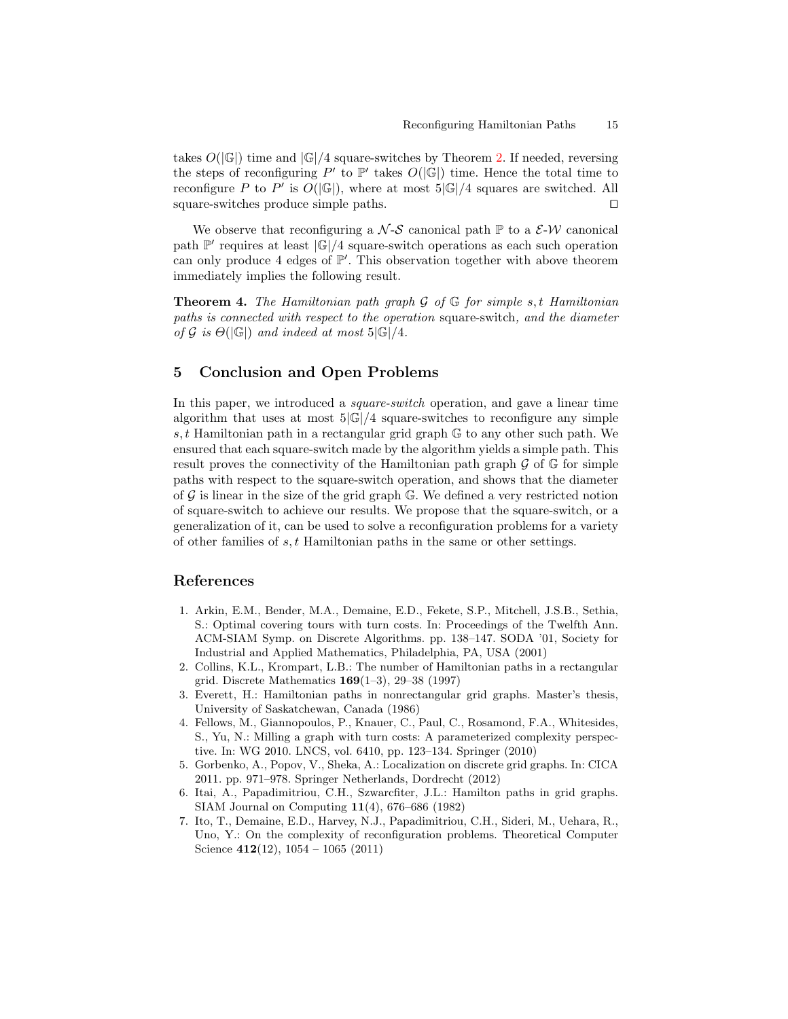takes  $O(|\mathbb{G}|)$  time and  $|\mathbb{G}|/4$  square-switches by Theorem [2.](#page-13-1) If needed, reversing the steps of reconfiguring  $P'$  to  $\mathbb{P}'$  takes  $O(|\mathbb{G}|)$  time. Hence the total time to reconfigure P to P' is  $O(|\mathbb{G}|)$ , where at most  $5|\mathbb{G}|/4$  squares are switched. All square-switches produce simple paths.  $\square$ 

We observe that reconfiguring a  $\mathcal{N}\text{-}\mathcal{S}$  canonical path  $\mathbb{P}$  to a  $\mathcal{E}\text{-}\mathcal{W}$  canonical path  $\mathbb{P}'$  requires at least  $|\mathbb{G}|/4$  square-switch operations as each such operation can only produce 4 edges of  $\mathbb{P}'$ . This observation together with above theorem immediately implies the following result.

**Theorem 4.** The Hamiltonian path graph  $\mathcal{G}$  of  $\mathbb{G}$  for simple s, t Hamiltonian paths is connected with respect to the operation square-switch, and the diameter of G is  $\Theta(|\mathbb{G}|)$  and indeed at most  $5|\mathbb{G}|/4$ .

# 5 Conclusion and Open Problems

In this paper, we introduced a *square-switch* operation, and gave a linear time algorithm that uses at most  $5|\mathbb{G}|/4$  square-switches to reconfigure any simple s, t Hamiltonian path in a rectangular grid graph  $\mathbb{G}$  to any other such path. We ensured that each square-switch made by the algorithm yields a simple path. This result proves the connectivity of the Hamiltonian path graph  $\mathcal G$  of  $\mathbb G$  for simple paths with respect to the square-switch operation, and shows that the diameter of  $\mathcal G$  is linear in the size of the grid graph  $\mathbb G$ . We defined a very restricted notion of square-switch to achieve our results. We propose that the square-switch, or a generalization of it, can be used to solve a reconfiguration problems for a variety of other families of s, t Hamiltonian paths in the same or other settings.

# References

- <span id="page-14-5"></span>1. Arkin, E.M., Bender, M.A., Demaine, E.D., Fekete, S.P., Mitchell, J.S.B., Sethia, S.: Optimal covering tours with turn costs. In: Proceedings of the Twelfth Ann. ACM-SIAM Symp. on Discrete Algorithms. pp. 138–147. SODA '01, Society for Industrial and Applied Mathematics, Philadelphia, PA, USA (2001)
- <span id="page-14-3"></span>2. Collins, K.L., Krompart, L.B.: The number of Hamiltonian paths in a rectangular grid. Discrete Mathematics 169(1–3), 29–38 (1997)
- <span id="page-14-2"></span>3. Everett, H.: Hamiltonian paths in nonrectangular grid graphs. Master's thesis, University of Saskatchewan, Canada (1986)
- <span id="page-14-6"></span>4. Fellows, M., Giannopoulos, P., Knauer, C., Paul, C., Rosamond, F.A., Whitesides, S., Yu, N.: Milling a graph with turn costs: A parameterized complexity perspective. In: WG 2010. LNCS, vol. 6410, pp. 123–134. Springer (2010)
- <span id="page-14-4"></span>5. Gorbenko, A., Popov, V., Sheka, A.: Localization on discrete grid graphs. In: CICA 2011. pp. 971–978. Springer Netherlands, Dordrecht (2012)
- <span id="page-14-1"></span>6. Itai, A., Papadimitriou, C.H., Szwarcfiter, J.L.: Hamilton paths in grid graphs. SIAM Journal on Computing 11(4), 676–686 (1982)
- <span id="page-14-0"></span>7. Ito, T., Demaine, E.D., Harvey, N.J., Papadimitriou, C.H., Sideri, M., Uehara, R., Uno, Y.: On the complexity of reconfiguration problems. Theoretical Computer Science  $412(12)$ ,  $1054 - 1065(2011)$